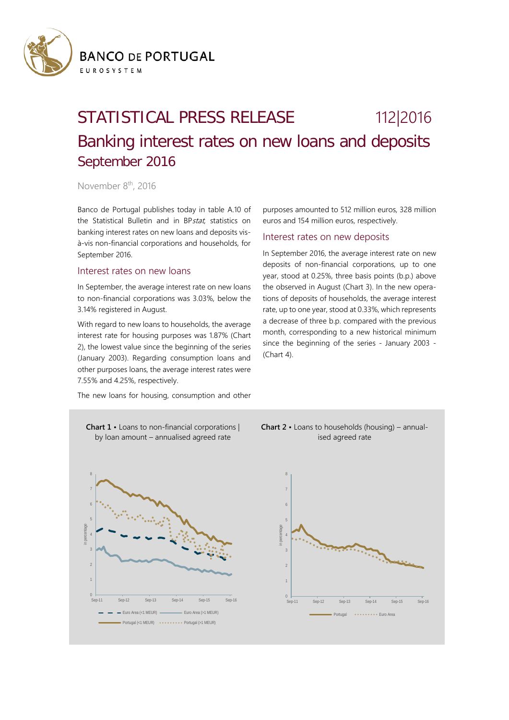

## STATISTICAL PRESS RELEASE 112|2016 Banking interest rates on new loans and deposits September 2016

November 8<sup>th</sup>, 2016

Banco de Portugal publishes today in table A.10 of the Statistical Bulletin and in BPstat, statistics on banking interest rates on new loans and deposits visà-vis non-financial corporations and households, for September 2016.

## Interest rates on new loans

In September, the average interest rate on new loans to non-financial corporations was 3.03%, below the 3.14% registered in August.

With regard to new loans to households, the average interest rate for housing purposes was 1.87% (Chart 2), the lowest value since the beginning of the series (January 2003). Regarding consumption loans and other purposes loans, the average interest rates were 7.55% and 4.25%, respectively.

The new loans for housing, consumption and other

purposes amounted to 512 million euros, 328 million euros and 154 million euros, respectively.

## Interest rates on new deposits

In September 2016, the average interest rate on new deposits of non-financial corporations, up to one year, stood at 0.25%, three basis points (b.p.) above the observed in August (Chart 3). In the new operations of deposits of households, the average interest rate, up to one year, stood at 0.33%, which represents a decrease of three b.p. compared with the previous month, corresponding to a new historical minimum since the beginning of the series - January 2003 - (Chart 4).